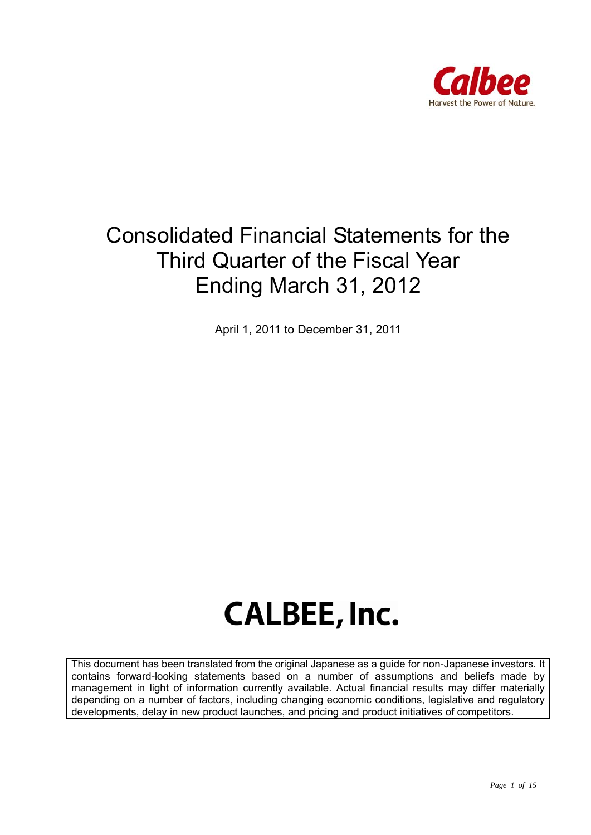

## Consolidated Financial Statements for the Third Quarter of the Fiscal Year Ending March 31, 2012

April 1, 2011 to December 31, 2011

# **CALBEE, Inc.**

This document has been translated from the original Japanese as a guide for non-Japanese investors. It contains forward-looking statements based on a number of assumptions and beliefs made by management in light of information currently available. Actual financial results may differ materially depending on a number of factors, including changing economic conditions, legislative and regulatory developments, delay in new product launches, and pricing and product initiatives of competitors.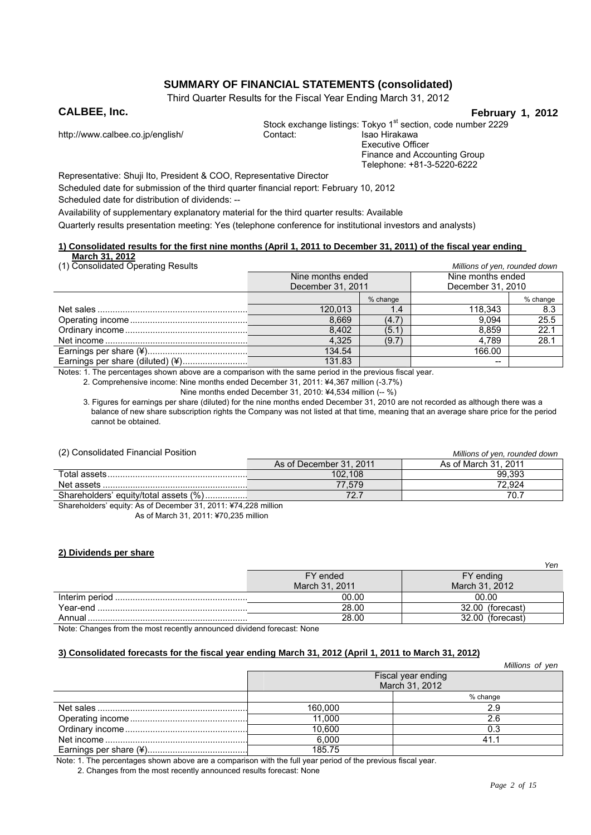#### **SUMMARY OF FINANCIAL STATEMENTS (consolidated)**

Third Quarter Results for the Fiscal Year Ending March 31, 2012

**CALBEE, Inc.** February 1, 2012

http://www.calbee.co.jp/english/

Stock exchange listings: Tokyo 1<sup>st</sup> section, code number 2229<br>Contact: Isao Hirakawa Executive Officer Finance and Accounting Group Telephone: +81-3-5220-6222

Representative: Shuji Ito, President & COO, Representative Director

Scheduled date for submission of the third quarter financial report: February 10, 2012

Scheduled date for distribution of dividends: --

Availability of supplementary explanatory material for the third quarter results: Available

Quarterly results presentation meeting: Yes (telephone conference for institutional investors and analysts)

#### **1) Consolidated results for the first nine months (April 1, 2011 to December 31, 2011) of the fiscal year ending**

| March 31, 2012 |  |                                 |  |
|----------------|--|---------------------------------|--|
|                |  | (1) Consolidated Operating Pess |  |

| (1) Consolidated Operating Results | Millions of yen, rounded down |          |                   |          |
|------------------------------------|-------------------------------|----------|-------------------|----------|
|                                    | Nine months ended             |          | Nine months ended |          |
|                                    | December 31, 2011             |          | December 31, 2010 |          |
|                                    |                               | % change |                   | % change |
|                                    | 120.013                       | 1.4      | 118.343           | 8.3      |
|                                    | 8.669                         | (4.7)    | 9.094             | 25.5     |
|                                    | 8.402                         | (5.1)    | 8.859             | 22.1     |
|                                    | 4.325                         | (9.7)    | 4.789             | 28.1     |
|                                    | 134.54                        |          | 166.00            |          |
|                                    | 131.83                        |          | --                |          |

Notes: 1. The percentages shown above are a comparison with the same period in the previous fiscal year.

2. Comprehensive income: Nine months ended December 31, 2011: ¥4,367 million (-3.7%)

Nine months ended December 31, 2010: ¥4,534 million (-- %)

3. Figures for earnings per share (diluted) for the nine months ended December 31, 2010 are not recorded as although there was a balance of new share subscription rights the Company was not listed at that time, meaning that an average share price for the period cannot be obtained.

#### (2) Consolidated Financial Position *Millions of yen, rounded down*

| $\sim$                                                         |                         |                      |
|----------------------------------------------------------------|-------------------------|----------------------|
|                                                                | As of December 31, 2011 | As of March 31, 2011 |
| Total assets.                                                  | 102.108                 | 99.393               |
|                                                                | 77.579                  | 72.924               |
| Shareholders' equity/total assets (%)                          | 72.                     | 70.7                 |
| Shareholders' equity: As of December 31, 2011: ¥74,228 million |                         |                      |

As of March 31, 2011: ¥70,235 million

#### **2) Dividends per share**

|          |                | Yen                 |
|----------|----------------|---------------------|
|          | FY ended       | FY ending           |
|          | March 31, 2011 | March 31, 2012      |
|          | 00.00          | 00.00               |
| Year-end | 28.00          | 32.00<br>(forecast) |
| Annual   | 28.00          | 32.00<br>(forecast) |

Note: Changes from the most recently announced dividend forecast: None

#### **3) Consolidated forecasts for the fiscal year ending March 31, 2012 (April 1, 2011 to March 31, 2012)**

|                                      | Millions of yen |  |
|--------------------------------------|-----------------|--|
| Fiscal year ending<br>March 31, 2012 |                 |  |
|                                      | % change        |  |
| 160,000                              | 2.9             |  |
| 11.000                               | 2.6             |  |
| 10.600                               | 0.3             |  |
| 6.000                                | 41              |  |
| 185.75                               |                 |  |

Note: 1. The percentages shown above are a comparison with the full year period of the previous fiscal year.

2. Changes from the most recently announced results forecast: None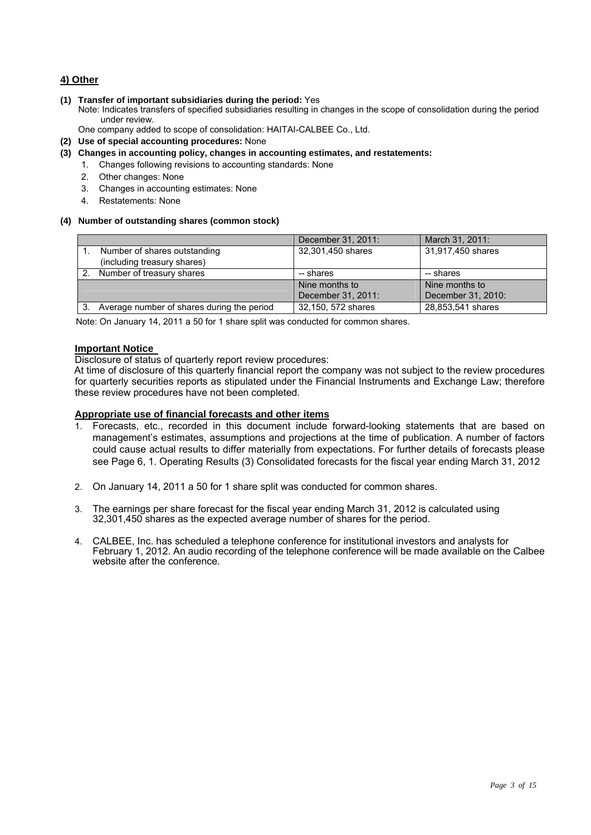#### **4) Other**

- **(1) Transfer of important subsidiaries during the period:** Yes
	- Note: Indicates transfers of specified subsidiaries resulting in changes in the scope of consolidation during the period under review.
	- One company added to scope of consolidation: HAITAI-CALBEE Co., Ltd.
- **(2) Use of special accounting procedures:** None
- **(3) Changes in accounting policy, changes in accounting estimates, and restatements:** 
	- 1. Changes following revisions to accounting standards: None
		- 2. Other changes: None
		- 3. Changes in accounting estimates: None
		- 4. Restatements: None

#### **(4) Number of outstanding shares (common stock)**

|                                                             | December 31, 2011: | March 31, 2011:    |
|-------------------------------------------------------------|--------------------|--------------------|
| Number of shares outstanding<br>(including treasury shares) | 32,301,450 shares  | 31,917,450 shares  |
|                                                             |                    |                    |
| Number of treasury shares                                   | -- shares          | -- shares          |
|                                                             | Nine months to     | Nine months to     |
|                                                             | December 31, 2011: | December 31, 2010: |
| Average number of shares during the period                  | 32,150, 572 shares | 28,853,541 shares  |

Note: On January 14, 2011 a 50 for 1 share split was conducted for common shares.

#### **Important Notice**

Disclosure of status of quarterly report review procedures:

At time of disclosure of this quarterly financial report the company was not subject to the review procedures for quarterly securities reports as stipulated under the Financial Instruments and Exchange Law; therefore these review procedures have not been completed.

#### **Appropriate use of financial forecasts and other items**

- 1. Forecasts, etc., recorded in this document include forward-looking statements that are based on management's estimates, assumptions and projections at the time of publication. A number of factors could cause actual results to differ materially from expectations. For further details of forecasts please see Page 6, 1. Operating Results (3) Consolidated forecasts for the fiscal year ending March 31, 2012
- 2. On January 14, 2011 a 50 for 1 share split was conducted for common shares.
- 3. The earnings per share forecast for the fiscal year ending March 31, 2012 is calculated using 32,301,450 shares as the expected average number of shares for the period.
- 4. CALBEE, Inc. has scheduled a telephone conference for institutional investors and analysts for February 1, 2012. An audio recording of the telephone conference will be made available on the Calbee website after the conference.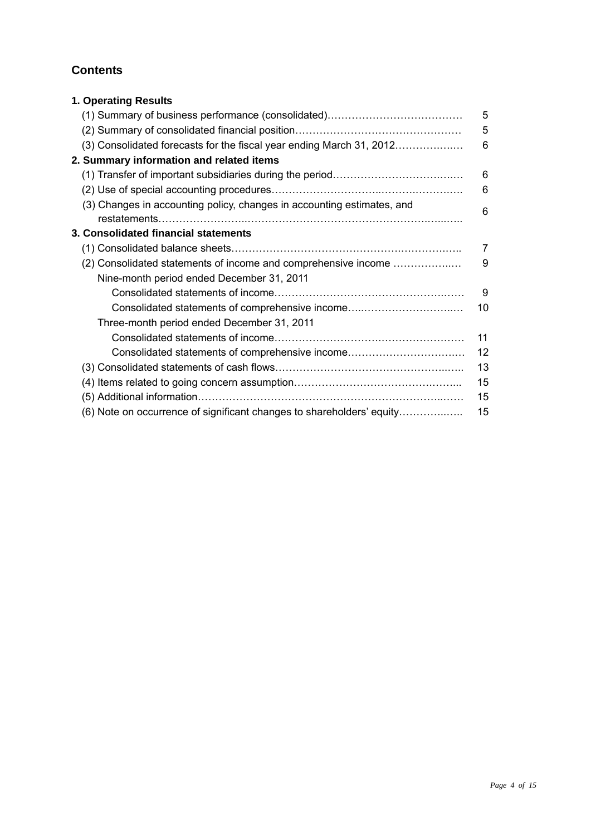### **Contents**

| 1. Operating Results                                                   |    |
|------------------------------------------------------------------------|----|
|                                                                        | 5  |
|                                                                        | 5  |
| (3) Consolidated forecasts for the fiscal year ending March 31, 2012   | 6  |
| 2. Summary information and related items                               |    |
|                                                                        | 6  |
|                                                                        | 6  |
| (3) Changes in accounting policy, changes in accounting estimates, and | 6  |
|                                                                        |    |
| 3. Consolidated financial statements                                   |    |
|                                                                        | 7  |
| (2) Consolidated statements of income and comprehensive income         | 9  |
| Nine-month period ended December 31, 2011                              |    |
|                                                                        | 9  |
| Consolidated statements of comprehensive income                        | 10 |
| Three-month period ended December 31, 2011                             |    |
|                                                                        | 11 |
| Consolidated statements of comprehensive income                        | 12 |
|                                                                        | 13 |
|                                                                        | 15 |
|                                                                        | 15 |
| (6) Note on occurrence of significant changes to shareholders' equity  | 15 |
|                                                                        |    |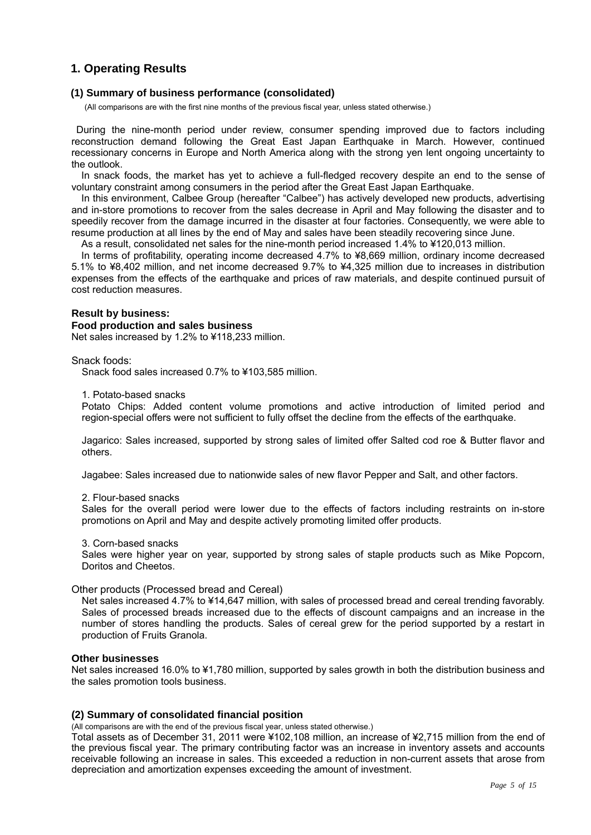#### **1. Operating Results**

#### **(1) Summary of business performance (consolidated)**

(All comparisons are with the first nine months of the previous fiscal year, unless stated otherwise.)

During the nine-month period under review, consumer spending improved due to factors including reconstruction demand following the Great East Japan Earthquake in March. However, continued recessionary concerns in Europe and North America along with the strong yen lent ongoing uncertainty to the outlook.

In snack foods, the market has yet to achieve a full-fledged recovery despite an end to the sense of voluntary constraint among consumers in the period after the Great East Japan Earthquake.

In this environment, Calbee Group (hereafter "Calbee") has actively developed new products, advertising and in-store promotions to recover from the sales decrease in April and May following the disaster and to speedily recover from the damage incurred in the disaster at four factories. Consequently, we were able to resume production at all lines by the end of May and sales have been steadily recovering since June.

As a result, consolidated net sales for the nine-month period increased 1.4% to ¥120,013 million.

In terms of profitability, operating income decreased 4.7% to ¥8,669 million, ordinary income decreased 5.1% to ¥8,402 million, and net income decreased 9.7% to ¥4,325 million due to increases in distribution expenses from the effects of the earthquake and prices of raw materials, and despite continued pursuit of cost reduction measures.

#### **Result by business:**

#### **Food production and sales business**

Net sales increased by 1.2% to ¥118,233 million.

Snack foods:

Snack food sales increased 0.7% to ¥103,585 million.

1. Potato-based snacks

Potato Chips: Added content volume promotions and active introduction of limited period and region-special offers were not sufficient to fully offset the decline from the effects of the earthquake.

Jagarico: Sales increased, supported by strong sales of limited offer Salted cod roe & Butter flavor and others.

Jagabee: Sales increased due to nationwide sales of new flavor Pepper and Salt, and other factors.

2. Flour-based snacks

Sales for the overall period were lower due to the effects of factors including restraints on in-store promotions on April and May and despite actively promoting limited offer products.

3. Corn-based snacks

Sales were higher year on year, supported by strong sales of staple products such as Mike Popcorn, Doritos and Cheetos.

Other products (Processed bread and Cereal)

Net sales increased 4.7% to ¥14,647 million, with sales of processed bread and cereal trending favorably. Sales of processed breads increased due to the effects of discount campaigns and an increase in the number of stores handling the products. Sales of cereal grew for the period supported by a restart in production of Fruits Granola.

#### **Other businesses**

Net sales increased 16.0% to ¥1,780 million, supported by sales growth in both the distribution business and the sales promotion tools business.

#### **(2) Summary of consolidated financial position**

(All comparisons are with the end of the previous fiscal year, unless stated otherwise.)

Total assets as of December 31, 2011 were ¥102,108 million, an increase of ¥2,715 million from the end of the previous fiscal year. The primary contributing factor was an increase in inventory assets and accounts receivable following an increase in sales. This exceeded a reduction in non-current assets that arose from depreciation and amortization expenses exceeding the amount of investment.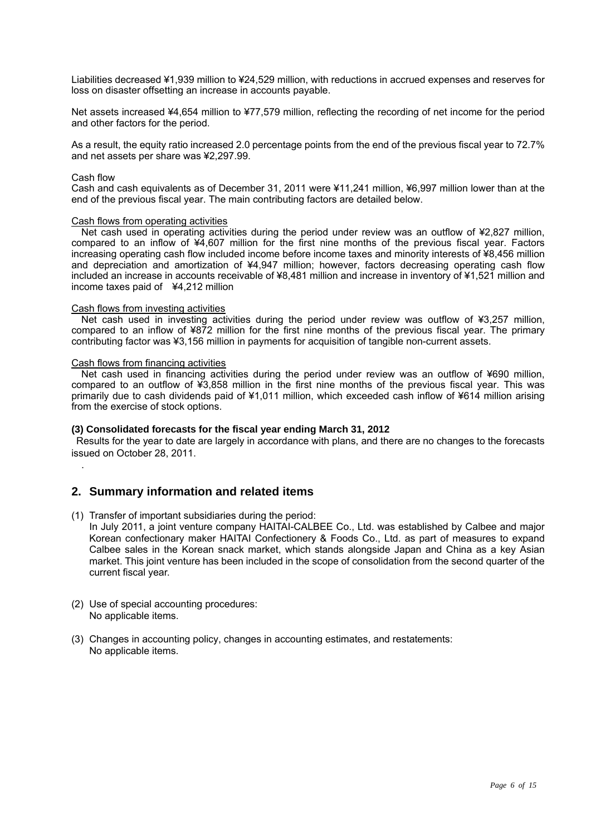Liabilities decreased ¥1,939 million to ¥24,529 million, with reductions in accrued expenses and reserves for loss on disaster offsetting an increase in accounts payable.

Net assets increased ¥4,654 million to ¥77,579 million, reflecting the recording of net income for the period and other factors for the period.

As a result, the equity ratio increased 2.0 percentage points from the end of the previous fiscal year to 72.7% and net assets per share was ¥2,297.99.

#### Cash flow

.

Cash and cash equivalents as of December 31, 2011 were ¥11,241 million, ¥6,997 million lower than at the end of the previous fiscal year. The main contributing factors are detailed below.

#### Cash flows from operating activities

Net cash used in operating activities during the period under review was an outflow of ¥2,827 million, compared to an inflow of ¥4,607 million for the first nine months of the previous fiscal year. Factors increasing operating cash flow included income before income taxes and minority interests of ¥8,456 million and depreciation and amortization of ¥4,947 million; however, factors decreasing operating cash flow included an increase in accounts receivable of ¥8,481 million and increase in inventory of ¥1,521 million and income taxes paid of ¥4,212 million

#### Cash flows from investing activities

Net cash used in investing activities during the period under review was outflow of ¥3,257 million, compared to an inflow of ¥872 million for the first nine months of the previous fiscal year. The primary contributing factor was ¥3,156 million in payments for acquisition of tangible non-current assets.

#### Cash flows from financing activities

Net cash used in financing activities during the period under review was an outflow of ¥690 million, compared to an outflow of ¥3,858 million in the first nine months of the previous fiscal year. This was primarily due to cash dividends paid of ¥1,011 million, which exceeded cash inflow of ¥614 million arising from the exercise of stock options.

#### **(3) Consolidated forecasts for the fiscal year ending March 31, 2012**

Results for the year to date are largely in accordance with plans, and there are no changes to the forecasts issued on October 28, 2011.

#### **2. Summary information and related items**

- (1) Transfer of important subsidiaries during the period: In July 2011, a joint venture company HAITAI-CALBEE Co., Ltd. was established by Calbee and major Korean confectionary maker HAITAI Confectionery & Foods Co., Ltd. as part of measures to expand Calbee sales in the Korean snack market, which stands alongside Japan and China as a key Asian market. This joint venture has been included in the scope of consolidation from the second quarter of the current fiscal year.
- (2) Use of special accounting procedures: No applicable items.
- (3) Changes in accounting policy, changes in accounting estimates, and restatements: No applicable items.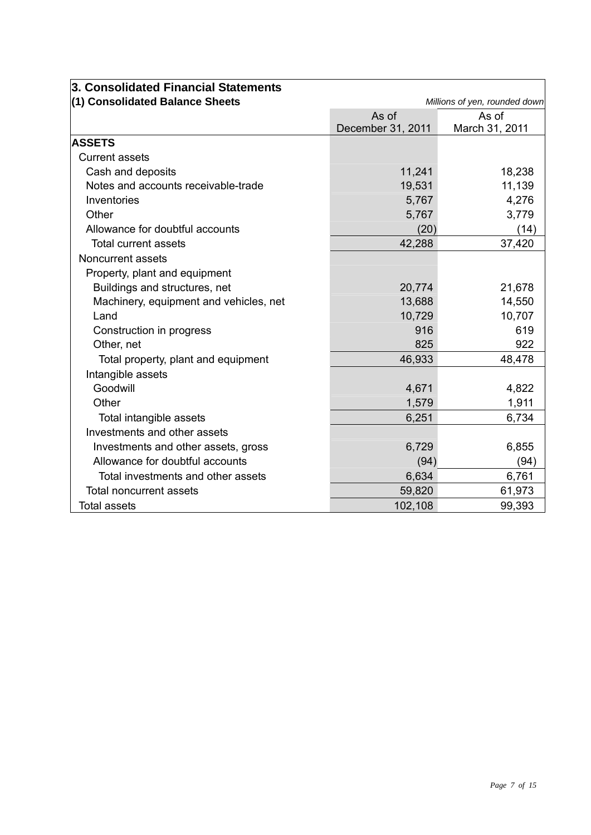| 3. Consolidated Financial Statements   |                   |                               |
|----------------------------------------|-------------------|-------------------------------|
| (1) Consolidated Balance Sheets        |                   | Millions of yen, rounded down |
|                                        | As of             | As of                         |
|                                        | December 31, 2011 | March 31, 2011                |
| <b>ASSETS</b>                          |                   |                               |
| <b>Current assets</b>                  |                   |                               |
| Cash and deposits                      | 11,241            | 18,238                        |
| Notes and accounts receivable-trade    | 19,531            | 11,139                        |
| Inventories                            | 5,767             | 4,276                         |
| Other                                  | 5,767             | 3,779                         |
| Allowance for doubtful accounts        | (20)              | (14)                          |
| <b>Total current assets</b>            | 42,288            | 37,420                        |
| Noncurrent assets                      |                   |                               |
| Property, plant and equipment          |                   |                               |
| Buildings and structures, net          | 20,774            | 21,678                        |
| Machinery, equipment and vehicles, net | 13,688            | 14,550                        |
| Land                                   | 10,729            | 10,707                        |
| Construction in progress               | 916               | 619                           |
| Other, net                             | 825               | 922                           |
| Total property, plant and equipment    | 46,933            | 48,478                        |
| Intangible assets                      |                   |                               |
| Goodwill                               | 4,671             | 4,822                         |
| Other                                  | 1,579             | 1,911                         |
| Total intangible assets                | 6,251             | 6,734                         |
| Investments and other assets           |                   |                               |
| Investments and other assets, gross    | 6,729             | 6,855                         |
| Allowance for doubtful accounts        | (94)              | (94)                          |
| Total investments and other assets     | 6,634             | 6,761                         |
| <b>Total noncurrent assets</b>         | 59,820            | 61,973                        |
| <b>Total assets</b>                    | 102,108           | 99,393                        |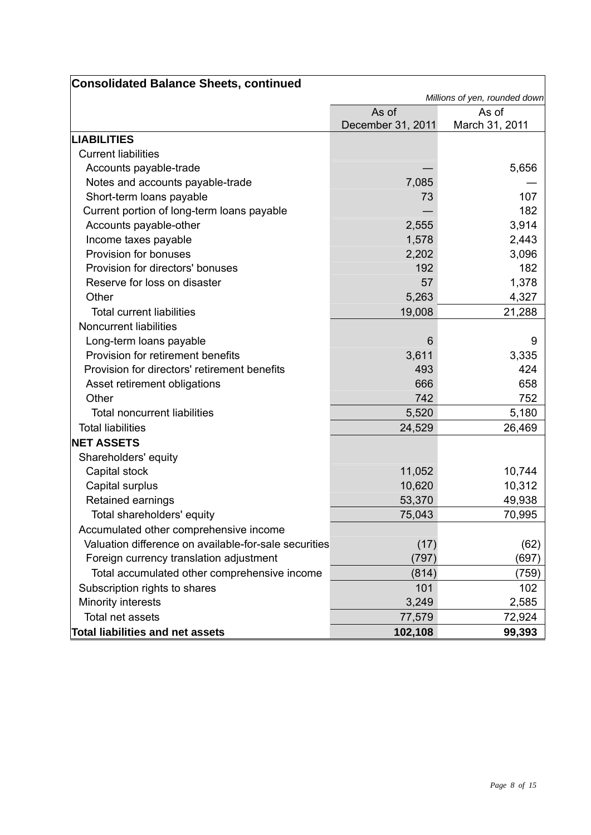| <b>Consolidated Balance Sheets, continued</b>         |                   |                               |
|-------------------------------------------------------|-------------------|-------------------------------|
|                                                       |                   | Millions of yen, rounded down |
|                                                       | As of             | As of                         |
|                                                       | December 31, 2011 | March 31, 2011                |
| <b>LIABILITIES</b>                                    |                   |                               |
| <b>Current liabilities</b>                            |                   |                               |
| Accounts payable-trade                                |                   | 5,656                         |
| Notes and accounts payable-trade                      | 7,085             |                               |
| Short-term loans payable                              | 73                | 107                           |
| Current portion of long-term loans payable            |                   | 182                           |
| Accounts payable-other                                | 2,555             | 3,914                         |
| Income taxes payable                                  | 1,578             | 2,443                         |
| Provision for bonuses                                 | 2,202             | 3,096                         |
| Provision for directors' bonuses                      | 192               | 182                           |
| Reserve for loss on disaster                          | 57                | 1,378                         |
| Other                                                 | 5,263             | 4,327                         |
| <b>Total current liabilities</b>                      | 19,008            | 21,288                        |
| <b>Noncurrent liabilities</b>                         |                   |                               |
| Long-term loans payable                               | 6                 | 9                             |
| Provision for retirement benefits                     | 3,611             | 3,335                         |
| Provision for directors' retirement benefits          | 493               | 424                           |
| Asset retirement obligations                          | 666               | 658                           |
| Other                                                 | 742               | 752                           |
| <b>Total noncurrent liabilities</b>                   | 5,520             | 5,180                         |
| <b>Total liabilities</b>                              | 24,529            | 26,469                        |
| <b>NET ASSETS</b>                                     |                   |                               |
| Shareholders' equity                                  |                   |                               |
| Capital stock                                         | 11,052            | 10,744                        |
| Capital surplus                                       | 10,620            | 10,312                        |
| Retained earnings                                     | 53,370            | 49,938                        |
| Total shareholders' equity                            | 75,043            | 70,995                        |
| Accumulated other comprehensive income                |                   |                               |
| Valuation difference on available-for-sale securities | (17)              | (62)                          |
| Foreign currency translation adjustment               | (797)             | (697)                         |
| Total accumulated other comprehensive income          | (814)             | (759)                         |
| Subscription rights to shares                         | 101               | 102                           |
| Minority interests                                    | 3,249             | 2,585                         |
| Total net assets                                      | 77,579            | 72,924                        |
| <b>Total liabilities and net assets</b>               | 102,108           | 99,393                        |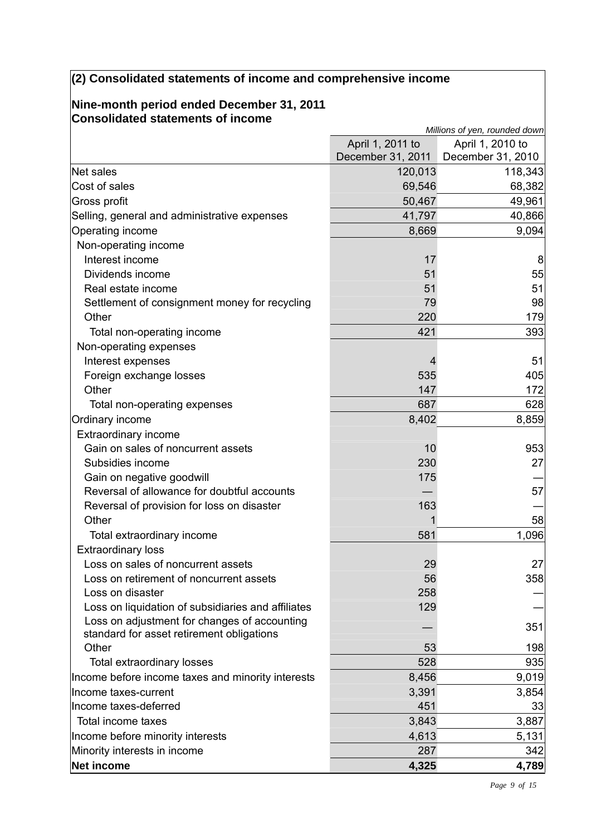## **(2) Consolidated statements of income and comprehensive income**

#### **Nine-month period ended December 31, 2011 Consolidated statements of income**

|                                                    | Millions of yen, rounded down |                   |  |
|----------------------------------------------------|-------------------------------|-------------------|--|
|                                                    | April 1, 2011 to              | April 1, 2010 to  |  |
|                                                    | December 31, 2011             | December 31, 2010 |  |
| Net sales                                          | 120,013                       | 118,343           |  |
| Cost of sales                                      | 69,546                        | 68,382            |  |
| Gross profit                                       | 50,467                        | 49,961            |  |
| Selling, general and administrative expenses       | 41,797                        | 40,866            |  |
| Operating income                                   | 8,669                         | 9,094             |  |
| Non-operating income                               |                               |                   |  |
| Interest income                                    | 17                            | 8                 |  |
| Dividends income                                   | 51                            | 55                |  |
| Real estate income                                 | 51                            | 51                |  |
| Settlement of consignment money for recycling      | 79                            | 98                |  |
| Other                                              | 220                           | 179               |  |
| Total non-operating income                         | 421                           | 393               |  |
| Non-operating expenses                             |                               |                   |  |
| Interest expenses                                  |                               | 51                |  |
| Foreign exchange losses                            | 535                           | 405               |  |
| Other                                              | 147                           | 172               |  |
| Total non-operating expenses                       | 687                           | 628               |  |
| Ordinary income                                    | 8,402                         | 8,859             |  |
| <b>Extraordinary income</b>                        |                               |                   |  |
| Gain on sales of noncurrent assets                 | 10                            | 953               |  |
| Subsidies income                                   | 230                           | 27                |  |
| Gain on negative goodwill                          | 175                           |                   |  |
| Reversal of allowance for doubtful accounts        |                               | 57                |  |
| Reversal of provision for loss on disaster         | 163                           |                   |  |
| Other                                              |                               | 58                |  |
| Total extraordinary income                         | 581                           | 1,096             |  |
| <b>Extraordinary loss</b>                          |                               |                   |  |
| Loss on sales of noncurrent assets                 | 29                            | 27                |  |
| Loss on retirement of noncurrent assets            | 56                            | 358               |  |
| Loss on disaster                                   | 258                           |                   |  |
| Loss on liquidation of subsidiaries and affiliates | 129                           |                   |  |
| Loss on adjustment for changes of accounting       |                               | 351               |  |
| standard for asset retirement obligations          |                               |                   |  |
| Other                                              | 53                            | 198               |  |
| Total extraordinary losses                         | 528                           | 935               |  |
| Income before income taxes and minority interests  | 8,456                         | 9,019             |  |
| Income taxes-current                               | 3,391                         | 3,854             |  |
| Income taxes-deferred                              | 451                           | 33                |  |
| Total income taxes                                 | 3,843                         | 3,887             |  |
| Income before minority interests                   | 4,613                         | 5,131             |  |
| Minority interests in income                       | 287                           | 342               |  |
| Net income                                         | 4,325                         | 4,789             |  |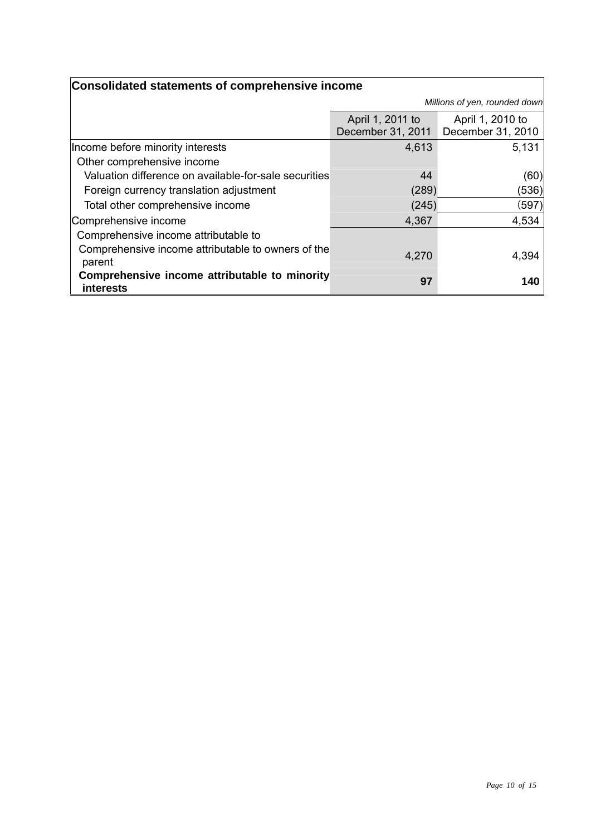| Consolidated statements of comprehensive income                   |                   |                               |  |
|-------------------------------------------------------------------|-------------------|-------------------------------|--|
|                                                                   |                   | Millions of yen, rounded down |  |
|                                                                   | April 1, 2011 to  | April 1, 2010 to              |  |
|                                                                   | December 31, 2011 | December 31, 2010             |  |
| Income before minority interests                                  | 4,613             | 5,131                         |  |
| Other comprehensive income                                        |                   |                               |  |
| Valuation difference on available-for-sale securities             | 44                | (60)                          |  |
| Foreign currency translation adjustment                           | (289)             | (536)                         |  |
| Total other comprehensive income                                  | (245)             | (597)                         |  |
| Comprehensive income                                              | 4,367             | 4,534                         |  |
| Comprehensive income attributable to                              |                   |                               |  |
| Comprehensive income attributable to owners of the<br>parent      | 4,270             | 4,394                         |  |
| Comprehensive income attributable to minority<br><b>interests</b> | 97                | 140                           |  |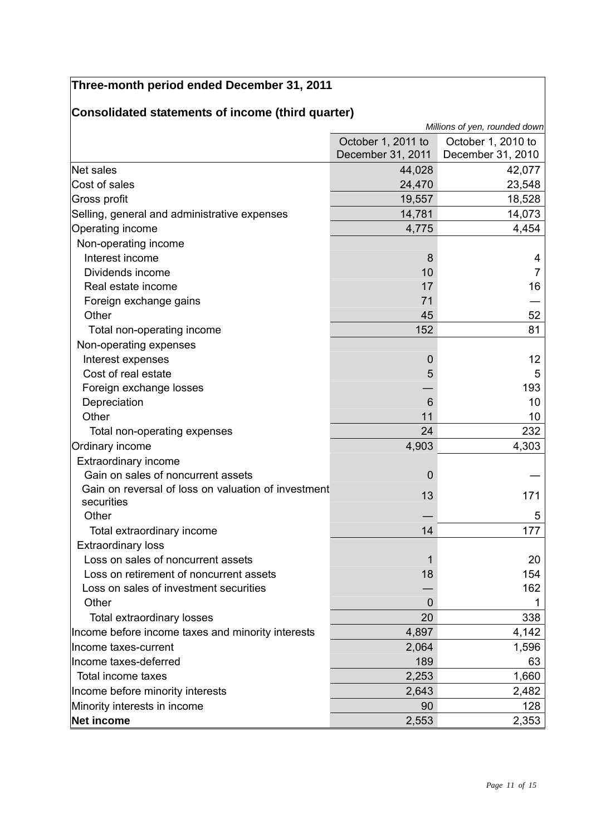|                                                     |                    | Millions of yen, rounded down |
|-----------------------------------------------------|--------------------|-------------------------------|
|                                                     | October 1, 2011 to | October 1, 2010 to            |
|                                                     | December 31, 2011  | December 31, 2010             |
| Net sales                                           | 44,028             | 42,077                        |
| Cost of sales                                       | 24,470             | 23,548                        |
| Gross profit                                        | 19,557             | 18,528                        |
| Selling, general and administrative expenses        | 14,781             | 14,073                        |
| <b>Operating income</b>                             | 4,775              | 4,454                         |
| Non-operating income                                |                    |                               |
| Interest income                                     | 8                  | 4                             |
| Dividends income                                    | 10                 | $\overline{7}$                |
| Real estate income                                  | 17                 | 16                            |
| Foreign exchange gains                              | 71                 |                               |
| Other                                               | 45                 | 52                            |
| Total non-operating income                          | 152                | 81                            |
| Non-operating expenses                              |                    |                               |
| Interest expenses                                   | 0                  | 12                            |
| Cost of real estate                                 | 5                  | 5                             |
| Foreign exchange losses                             |                    | 193                           |
| Depreciation                                        | 6                  | 10                            |
| Other                                               | 11                 | 10                            |
| Total non-operating expenses                        | 24                 | 232                           |
| Ordinary income                                     | 4,903              | 4,303                         |
| <b>Extraordinary income</b>                         |                    |                               |
| Gain on sales of noncurrent assets                  | $\mathbf 0$        |                               |
| Gain on reversal of loss on valuation of investment |                    | 171                           |
| securities                                          | 13                 |                               |
| Other                                               |                    | 5                             |
| Total extraordinary income                          | 14                 | 177                           |
| <b>Extraordinary loss</b>                           |                    |                               |
| Loss on sales of noncurrent assets                  |                    | 20                            |
| Loss on retirement of noncurrent assets             | 18                 | 154                           |
| Loss on sales of investment securities              |                    | 162                           |
| Other                                               | O                  |                               |
| Total extraordinary losses                          | 20                 | 338                           |
| Income before income taxes and minority interests   | 4,897              | 4,142                         |
| Income taxes-current                                | 2,064              | 1,596                         |
| Income taxes-deferred                               | 189                | 63                            |
| Total income taxes                                  | 2,253              | 1,660                         |
| Income before minority interests                    | 2,643              | 2,482                         |
| Minority interests in income                        | 90                 | 128                           |
| Net income                                          | 2,553              | 2,353                         |

## **Three-month period ended December 31, 2011**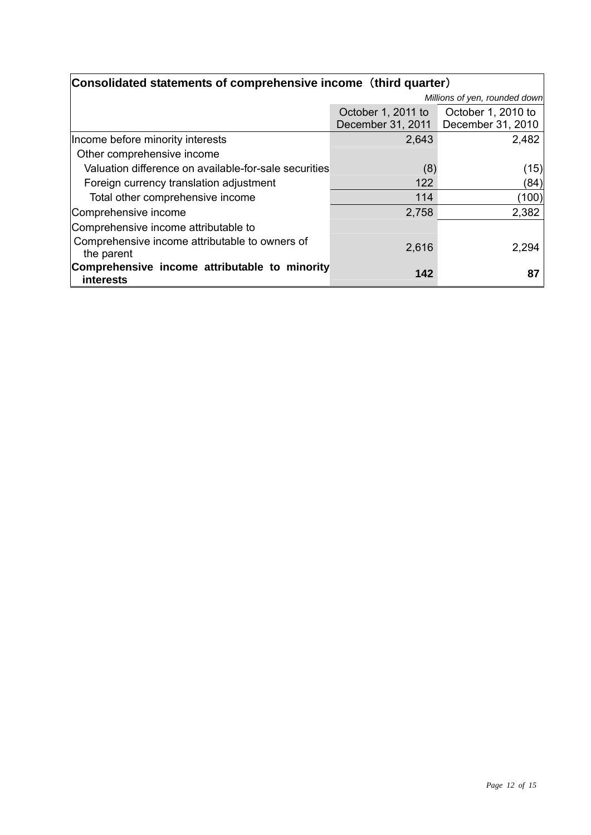| Consolidated statements of comprehensive income (third quarter) |                               |                    |  |
|-----------------------------------------------------------------|-------------------------------|--------------------|--|
|                                                                 | Millions of yen, rounded down |                    |  |
|                                                                 | October 1, 2011 to            | October 1, 2010 to |  |
|                                                                 | December 31, 2011             | December 31, 2010  |  |
| Income before minority interests                                | 2,643                         | 2,482              |  |
| Other comprehensive income                                      |                               |                    |  |
| Valuation difference on available-for-sale securities           | (8)                           | (15)               |  |
| Foreign currency translation adjustment                         | 122                           | (84)               |  |
| Total other comprehensive income                                | 114                           | (100)              |  |
| Comprehensive income                                            | 2,758                         | 2,382              |  |
| Comprehensive income attributable to                            |                               |                    |  |
| Comprehensive income attributable to owners of<br>the parent    | 2,616                         | 2,294              |  |
| Comprehensive income attributable to minority<br>interests      | 142                           | 87                 |  |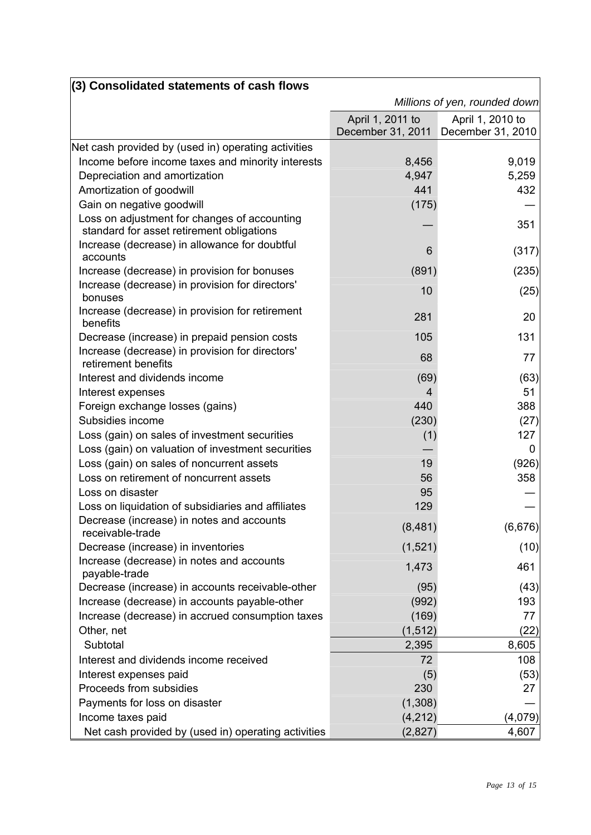| (3) Consolidated statements of cash flows                                                 |                                       |                                       |  |
|-------------------------------------------------------------------------------------------|---------------------------------------|---------------------------------------|--|
|                                                                                           | Millions of yen, rounded down         |                                       |  |
|                                                                                           | April 1, 2011 to<br>December 31, 2011 | April 1, 2010 to<br>December 31, 2010 |  |
| Net cash provided by (used in) operating activities                                       |                                       |                                       |  |
| Income before income taxes and minority interests                                         | 8,456                                 | 9,019                                 |  |
| Depreciation and amortization                                                             | 4,947                                 | 5,259                                 |  |
| Amortization of goodwill                                                                  | 441                                   | 432                                   |  |
| Gain on negative goodwill                                                                 | (175)                                 |                                       |  |
| Loss on adjustment for changes of accounting<br>standard for asset retirement obligations |                                       | 351                                   |  |
| Increase (decrease) in allowance for doubtful<br>accounts                                 | 6                                     | (317)                                 |  |
| Increase (decrease) in provision for bonuses                                              | (891)                                 | (235)                                 |  |
| Increase (decrease) in provision for directors'<br>bonuses                                | 10                                    | (25)                                  |  |
| Increase (decrease) in provision for retirement<br>benefits                               | 281                                   | 20                                    |  |
| Decrease (increase) in prepaid pension costs                                              | 105                                   | 131                                   |  |
| Increase (decrease) in provision for directors'<br>retirement benefits                    | 68                                    | 77                                    |  |
| Interest and dividends income                                                             | (69)                                  | (63)                                  |  |
| Interest expenses                                                                         | 4                                     | 51                                    |  |
| Foreign exchange losses (gains)                                                           | 440                                   | 388                                   |  |
| Subsidies income                                                                          | (230)                                 | (27)                                  |  |
| Loss (gain) on sales of investment securities                                             | (1)                                   | 127                                   |  |
| Loss (gain) on valuation of investment securities                                         |                                       | 0                                     |  |
| Loss (gain) on sales of noncurrent assets                                                 | 19                                    | (926)                                 |  |
| Loss on retirement of noncurrent assets                                                   | 56                                    | 358                                   |  |
| Loss on disaster                                                                          | 95                                    |                                       |  |
| Loss on liquidation of subsidiaries and affiliates                                        | 129                                   |                                       |  |
| Decrease (increase) in notes and accounts<br>receivable-trade                             | (8,481)                               | (6,676)                               |  |
| Decrease (increase) in inventories                                                        | (1,521)                               | (10)                                  |  |
| Increase (decrease) in notes and accounts<br>payable-trade                                | 1,473                                 | 461                                   |  |
| Decrease (increase) in accounts receivable-other                                          | (95)                                  | (43)                                  |  |
| Increase (decrease) in accounts payable-other                                             | (992)                                 | 193                                   |  |
| Increase (decrease) in accrued consumption taxes                                          | (169)                                 | 77                                    |  |
| Other, net                                                                                | (1, 512)                              | (22)                                  |  |
| Subtotal                                                                                  | 2,395                                 | 8,605                                 |  |
| Interest and dividends income received                                                    | 72                                    | 108                                   |  |
| Interest expenses paid                                                                    | (5)                                   | (53)                                  |  |
| Proceeds from subsidies                                                                   | 230                                   | 27                                    |  |
| Payments for loss on disaster                                                             | (1,308)                               |                                       |  |
| Income taxes paid                                                                         | (4, 212)                              | (4,079)                               |  |
| Net cash provided by (used in) operating activities                                       | (2,827)                               | 4,607                                 |  |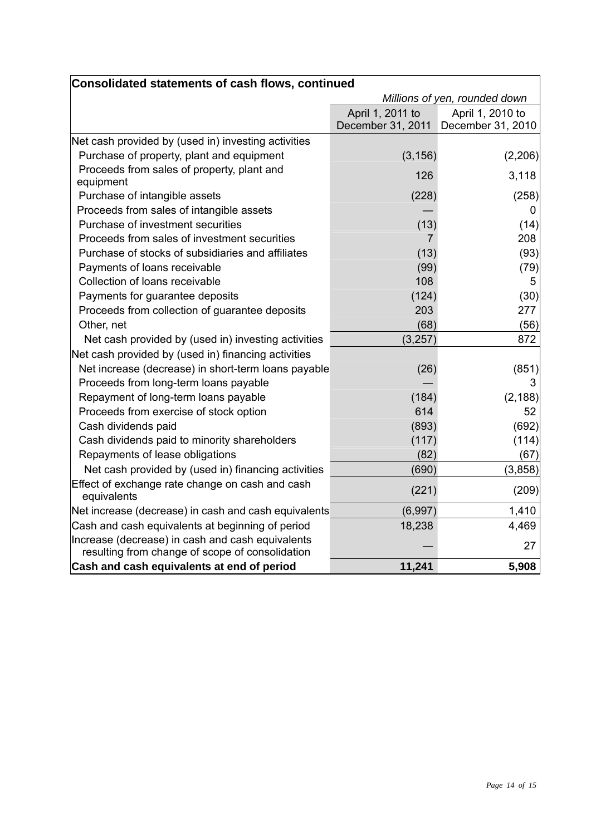| <b>Consolidated statements of cash flows, continued</b>                                             |                                     |                  |
|-----------------------------------------------------------------------------------------------------|-------------------------------------|------------------|
|                                                                                                     | Millions of yen, rounded down       |                  |
|                                                                                                     | April 1, 2011 to                    | April 1, 2010 to |
|                                                                                                     | December 31, 2011 December 31, 2010 |                  |
| Net cash provided by (used in) investing activities                                                 |                                     |                  |
| Purchase of property, plant and equipment                                                           | (3, 156)                            | (2, 206)         |
| Proceeds from sales of property, plant and<br>equipment                                             | 126                                 | 3,118            |
| Purchase of intangible assets                                                                       | (228)                               | (258)            |
| Proceeds from sales of intangible assets                                                            |                                     | U                |
| Purchase of investment securities                                                                   | (13)                                | (14)             |
| Proceeds from sales of investment securities                                                        | 7                                   | 208              |
| Purchase of stocks of subsidiaries and affiliates                                                   | (13)                                | (93)             |
| Payments of loans receivable                                                                        | (99)                                | (79)             |
| Collection of loans receivable                                                                      | 108                                 | 5                |
| Payments for guarantee deposits                                                                     | (124)                               | (30)             |
| Proceeds from collection of guarantee deposits                                                      | 203                                 | 277              |
| Other, net                                                                                          | (68)                                | (56)             |
| Net cash provided by (used in) investing activities                                                 | (3,257)                             | 872              |
| Net cash provided by (used in) financing activities                                                 |                                     |                  |
| Net increase (decrease) in short-term loans payable                                                 | (26)                                | (851)            |
| Proceeds from long-term loans payable                                                               |                                     | 3                |
| Repayment of long-term loans payable                                                                | (184)                               | (2, 188)         |
| Proceeds from exercise of stock option                                                              | 614                                 | 52               |
| Cash dividends paid                                                                                 | (893)                               | (692)            |
| Cash dividends paid to minority shareholders                                                        | (117)                               | (114)            |
| Repayments of lease obligations                                                                     | (82)                                | (67)             |
| Net cash provided by (used in) financing activities                                                 | (690)                               | (3,858)          |
| Effect of exchange rate change on cash and cash<br>equivalents                                      | (221)                               | (209)            |
| Net increase (decrease) in cash and cash equivalents                                                | (6,997)                             | 1,410            |
| Cash and cash equivalents at beginning of period                                                    | 18,238                              | 4,469            |
| Increase (decrease) in cash and cash equivalents<br>resulting from change of scope of consolidation |                                     | 27               |
| Cash and cash equivalents at end of period                                                          | 11,241                              | 5,908            |